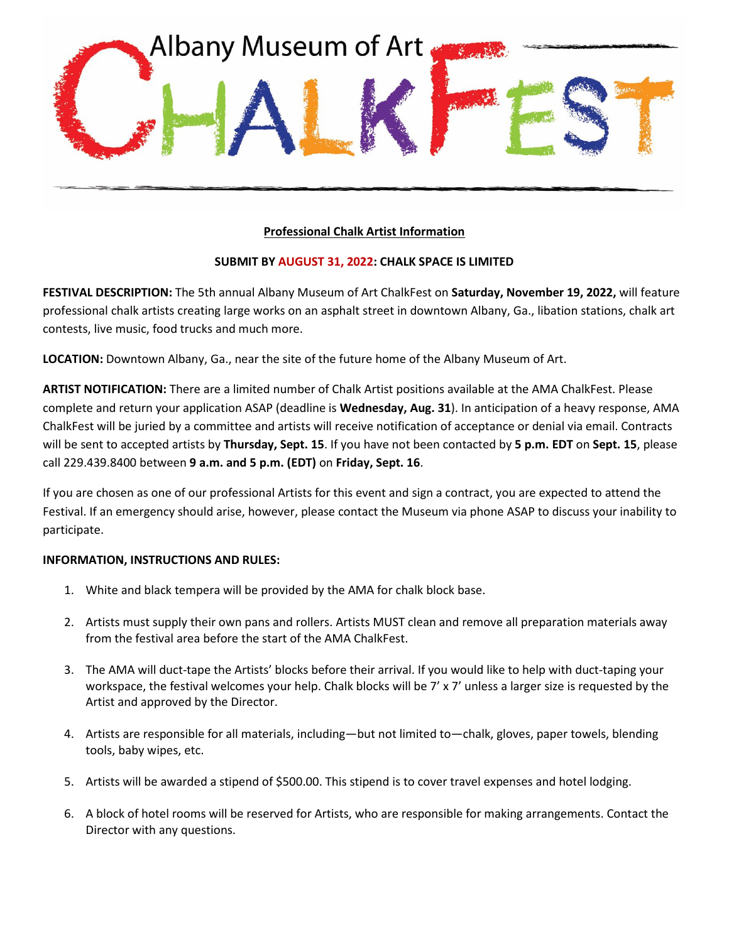

## **Professional Chalk Artist Information**

## **SUBMIT BY AUGUST 31, 2022: CHALK SPACE IS LIMITED**

**FESTIVAL DESCRIPTION:** The 5th annual Albany Museum of Art ChalkFest on **Saturday, November 19, 2022,** will feature professional chalk artists creating large works on an asphalt street in downtown Albany, Ga., libation stations, chalk art contests, live music, food trucks and much more.

**LOCATION:** Downtown Albany, Ga., near the site of the future home of the Albany Museum of Art.

**ARTIST NOTIFICATION:** There are a limited number of Chalk Artist positions available at the AMA ChalkFest. Please complete and return your application ASAP (deadline is **Wednesday, Aug. 31**). In anticipation of a heavy response, AMA ChalkFest will be juried by a committee and artists will receive notification of acceptance or denial via email. Contracts will be sent to accepted artists by **Thursday, Sept. 15**. If you have not been contacted by **5 p.m. EDT** on **Sept. 15**, please call 229.439.8400 between **9 a.m. and 5 p.m. (EDT)** on **Friday, Sept. 16**.

If you are chosen as one of our professional Artists for this event and sign a contract, you are expected to attend the Festival. If an emergency should arise, however, please contact the Museum via phone ASAP to discuss your inability to participate.

## **INFORMATION, INSTRUCTIONS AND RULES:**

- 1. White and black tempera will be provided by the AMA for chalk block base.
- 2. Artists must supply their own pans and rollers. Artists MUST clean and remove all preparation materials away from the festival area before the start of the AMA ChalkFest.
- 3. The AMA will duct-tape the Artists' blocks before their arrival. If you would like to help with duct-taping your workspace, the festival welcomes your help. Chalk blocks will be 7' x 7' unless a larger size is requested by the Artist and approved by the Director.
- 4. Artists are responsible for all materials, including—but not limited to—chalk, gloves, paper towels, blending tools, baby wipes, etc.
- 5. Artists will be awarded a stipend of \$500.00. This stipend is to cover travel expenses and hotel lodging.
- 6. A block of hotel rooms will be reserved for Artists, who are responsible for making arrangements. Contact the Director with any questions.